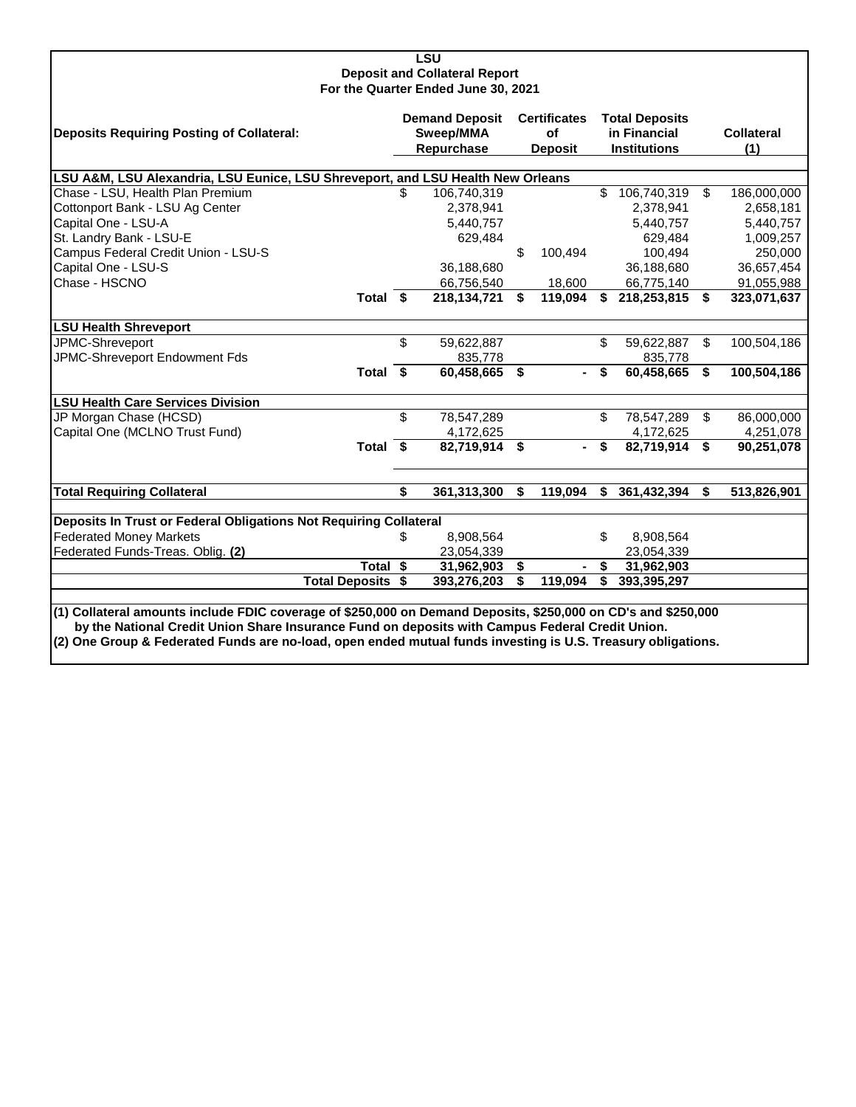| <b>LSU</b>                                                                                                    |           |                       |    |                     |    |                       |                         |                   |  |  |  |
|---------------------------------------------------------------------------------------------------------------|-----------|-----------------------|----|---------------------|----|-----------------------|-------------------------|-------------------|--|--|--|
| <b>Deposit and Collateral Report</b>                                                                          |           |                       |    |                     |    |                       |                         |                   |  |  |  |
| For the Quarter Ended June 30, 2021                                                                           |           |                       |    |                     |    |                       |                         |                   |  |  |  |
|                                                                                                               |           | <b>Demand Deposit</b> |    | <b>Certificates</b> |    | <b>Total Deposits</b> |                         |                   |  |  |  |
| <b>Deposits Requiring Posting of Collateral:</b>                                                              | Sweep/MMA |                       |    | οf                  |    | in Financial          |                         | <b>Collateral</b> |  |  |  |
|                                                                                                               |           | Repurchase            |    | <b>Deposit</b>      |    | <b>Institutions</b>   |                         | (1)               |  |  |  |
|                                                                                                               |           |                       |    |                     |    |                       |                         |                   |  |  |  |
| LSU A&M, LSU Alexandria, LSU Eunice, LSU Shreveport, and LSU Health New Orleans                               |           |                       |    |                     |    |                       |                         |                   |  |  |  |
| Chase - LSU, Health Plan Premium                                                                              | \$        | 106,740,319           |    |                     | \$ | 106,740,319           | $\overline{\mathbf{s}}$ | 186,000,000       |  |  |  |
| Cottonport Bank - LSU Ag Center                                                                               |           | 2,378,941             |    |                     |    | 2,378,941             |                         | 2,658,181         |  |  |  |
| Capital One - LSU-A                                                                                           |           | 5,440,757             |    |                     |    | 5,440,757             |                         | 5,440,757         |  |  |  |
| St. Landry Bank - LSU-E                                                                                       |           | 629,484               |    |                     |    | 629,484               |                         | 1,009,257         |  |  |  |
| Campus Federal Credit Union - LSU-S                                                                           |           |                       | \$ | 100,494             |    | 100,494               |                         | 250,000           |  |  |  |
| Capital One - LSU-S                                                                                           |           | 36,188,680            |    |                     |    | 36,188,680            |                         | 36,657,454        |  |  |  |
| Chase - HSCNO                                                                                                 |           | 66,756,540            |    | 18.600              |    | 66,775,140            |                         | 91,055,988        |  |  |  |
| Total \$                                                                                                      |           | 218,134,721           | \$ | 119,094             | \$ | 218,253,815           | \$                      | 323,071,637       |  |  |  |
| <b>LSU Health Shreveport</b>                                                                                  |           |                       |    |                     |    |                       |                         |                   |  |  |  |
| JPMC-Shreveport                                                                                               | \$        | 59,622,887            |    |                     | \$ | 59,622,887            | \$                      | 100,504,186       |  |  |  |
| JPMC-Shreveport Endowment Fds                                                                                 |           | 835,778               |    |                     |    | 835,778               |                         |                   |  |  |  |
| Total \$                                                                                                      |           | 60,458,665            | \$ |                     | \$ | 60,458,665            | \$                      | 100,504,186       |  |  |  |
| <b>LSU Health Care Services Division</b>                                                                      |           |                       |    |                     |    |                       |                         |                   |  |  |  |
| JP Morgan Chase (HCSD)                                                                                        | \$        | 78,547,289            |    |                     | \$ | 78,547,289            | $\mathfrak{L}$          | 86,000,000        |  |  |  |
| Capital One (MCLNO Trust Fund)                                                                                |           | 4,172,625             |    |                     |    | 4,172,625             |                         | 4,251,078         |  |  |  |
| Total \$                                                                                                      |           | 82,719,914            | \$ |                     | \$ | 82,719,914            | \$                      | 90,251,078        |  |  |  |
|                                                                                                               |           |                       |    |                     |    |                       |                         |                   |  |  |  |
| <b>Total Requiring Collateral</b>                                                                             | \$        | 361,313,300           | \$ | 119.094             | \$ | 361,432,394           | \$                      | 513,826,901       |  |  |  |
| Deposits In Trust or Federal Obligations Not Requiring Collateral                                             |           |                       |    |                     |    |                       |                         |                   |  |  |  |
| <b>Federated Money Markets</b>                                                                                | \$        | 8,908,564             |    |                     | \$ | 8,908,564             |                         |                   |  |  |  |
| Federated Funds-Treas. Oblig. (2)                                                                             |           | 23,054,339            |    |                     |    | 23,054,339            |                         |                   |  |  |  |
| Total \$                                                                                                      |           | 31,962,903            | \$ |                     | \$ | 31,962,903            |                         |                   |  |  |  |
| <b>Total Deposits \$</b>                                                                                      |           | 393,276,203           | \$ | 119,094             | \$ | 393,395,297           |                         |                   |  |  |  |
|                                                                                                               |           |                       |    |                     |    |                       |                         |                   |  |  |  |
| (1) Collateral amounts include FDIC coverage of \$250,000 on Demand Deposits, \$250,000 on CD's and \$250,000 |           |                       |    |                     |    |                       |                         |                   |  |  |  |
| by the National Credit Union Share Insurance Fund on deposits with Campus Federal Credit Union.               |           |                       |    |                     |    |                       |                         |                   |  |  |  |
| (2) One Group & Federated Funds are no-load, open ended mutual funds investing is U.S. Treasury obligations.  |           |                       |    |                     |    |                       |                         |                   |  |  |  |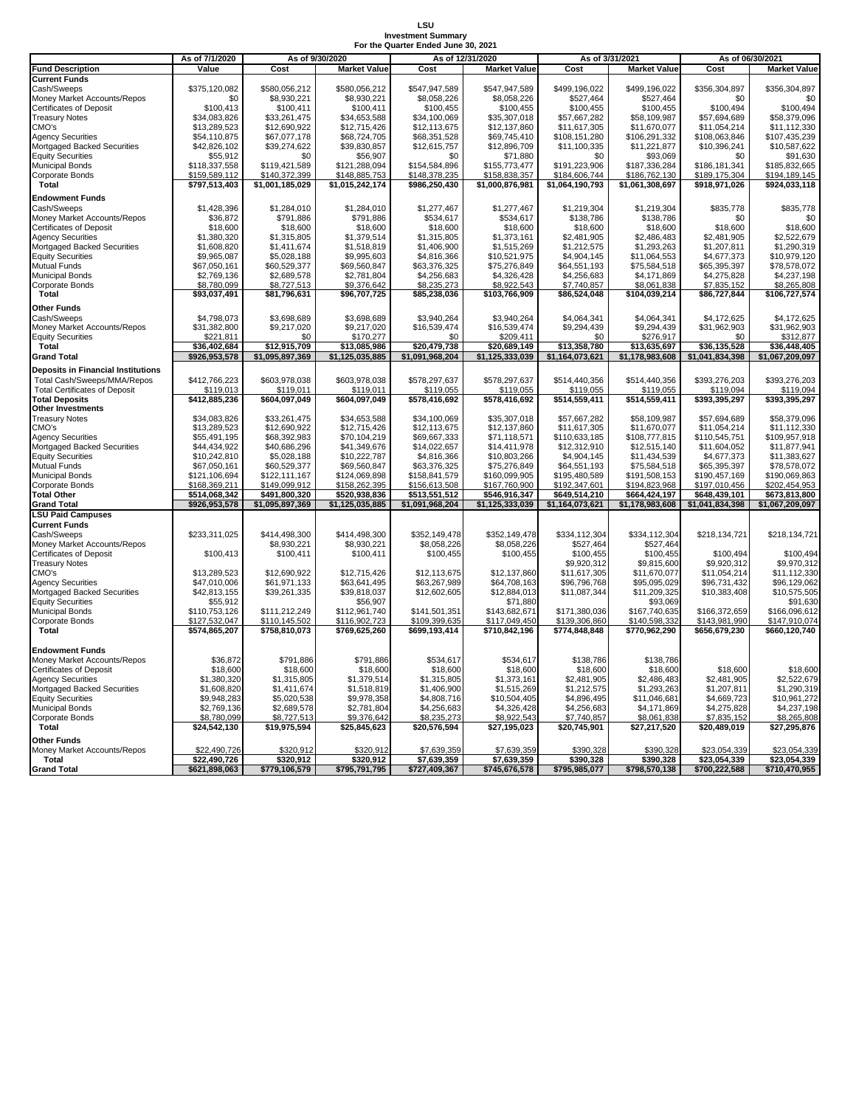#### **LSU Investment Summary For the Quarter Ended June 30, 2021**

|                                           |                | For the Quarter Enged June 30. 202 |                     |                 |                     |                 |                     |                 |                     |  |
|-------------------------------------------|----------------|------------------------------------|---------------------|-----------------|---------------------|-----------------|---------------------|-----------------|---------------------|--|
|                                           | As of 7/1/2020 |                                    | As of 9/30/2020     |                 | As of 12/31/2020    |                 | As of 3/31/2021     |                 | As of 06/30/2021    |  |
| <b>Fund Description</b>                   | Value          | Cost                               | <b>Market Value</b> | Cost            | <b>Market Value</b> | Cost            | <b>Market Value</b> | Cost            | <b>Market Value</b> |  |
| <b>Current Funds</b>                      |                |                                    |                     |                 |                     |                 |                     |                 |                     |  |
| Cash/Sweeps                               | \$375,120,082  | \$580,056,212                      | \$580,056,212       | \$547,947,589   | \$547,947,589       | \$499,196,022   | \$499,196,022       | \$356,304,897   | \$356,304,897       |  |
| Money Market Accounts/Repos               | \$0            | \$8,930,221                        | \$8,930,221         | \$8,058,226     | \$8,058,226         | \$527,464       | \$527,464           | \$0             | \$0                 |  |
| <b>Certificates of Deposit</b>            | \$100,413      | \$100,411                          | \$100,411           | \$100,455       | \$100,455           | \$100,455       | \$100,455           | \$100,494       | \$100,494           |  |
|                                           |                |                                    |                     |                 |                     |                 |                     |                 |                     |  |
| <b>Treasury Notes</b>                     | \$34,083,826   | \$33,261,475                       | \$34,653,588        | \$34,100,069    | \$35,307,018        | \$57,667,282    | \$58,109,987        | \$57,694,689    | \$58,379,096        |  |
| CMO's                                     | \$13,289,523   | \$12,690,922                       | \$12,715,426        | \$12,113,675    | \$12,137,860        | \$11,617,305    | \$11,670,077        | \$11,054,214    | \$11,112,330        |  |
| <b>Agency Securities</b>                  | \$54,110,875   | \$67,077,178                       | \$68,724,705        | \$68,351,528    | \$69,745,410        | \$108,151,280   | \$106,291,332       | \$108,063,846   | \$107,435,239       |  |
| Mortgaged Backed Securities               | \$42,826,102   | \$39,274,622                       | \$39,830,857        | \$12,615,757    | \$12,896,709        | \$11,100,335    | \$11,221,877        | \$10,396,241    | \$10,587,622        |  |
| <b>Equity Securities</b>                  | \$55,912       | \$0                                | \$56,907            | \$0             | \$71,880            | \$0             | \$93,069            | \$0             | \$91,630            |  |
| <b>Municipal Bonds</b>                    | \$118,337,558  | \$119,421,589                      | \$121,288,094       | \$154,584,896   | \$155,773,477       | \$191,223,906   | \$187,336,284       | \$186,181,341   | \$185,832,665       |  |
| <b>Corporate Bonds</b>                    | \$159,589,112  | \$140.372.399                      | \$148,885,753       | \$148.378.235   | \$158,838,357       | \$184,606,744   | \$186.762.130       | \$189.175.304   | \$194,189,145       |  |
| <b>Total</b>                              | \$797,513,403  | \$1,001,185,029                    | \$1,015,242,174     | \$986,250,430   | \$1,000,876,981     | \$1,064,190,793 | \$1,061,308,697     | \$918,971,026   | \$924,033,118       |  |
|                                           |                |                                    |                     |                 |                     |                 |                     |                 |                     |  |
| <b>Endowment Funds</b>                    |                |                                    |                     |                 |                     |                 |                     |                 |                     |  |
| Cash/Sweeps                               | \$1,428,396    | \$1,284,010                        | \$1,284,010         | \$1,277,467     | \$1,277,467         | \$1,219,304     | \$1,219,304         | \$835,778       | \$835,778           |  |
| Money Market Accounts/Repos               | \$36,872       | \$791,886                          | \$791,886           | \$534,617       | \$534,617           | \$138,786       | \$138,786           | \$0             | \$0                 |  |
| <b>Certificates of Deposit</b>            | \$18,600       | \$18,600                           | \$18,600            | \$18,600        | \$18,600            | \$18,600        | \$18,600            | \$18,600        | \$18,600            |  |
| <b>Agency Securities</b>                  | \$1,380,320    | \$1,315,805                        | \$1,379,514         | \$1,315,805     | \$1,373,161         | \$2,481,905     | \$2,486,483         | \$2,481,905     | \$2,522,679         |  |
| Mortgaged Backed Securities               | \$1,608,820    | \$1,411,674                        | \$1,518,819         | \$1,406,900     | \$1,515,269         | \$1,212,575     | \$1,293,263         | \$1,207,811     | \$1,290,319         |  |
|                                           |                |                                    |                     |                 |                     |                 |                     |                 |                     |  |
| <b>Equity Securities</b>                  | \$9,965,087    | \$5,028,188                        | \$9,995,603         | \$4,816,366     | \$10,521,975        | \$4,904,145     | \$11,064,553        | \$4,677,373     | \$10,979,120        |  |
| <b>Mutual Funds</b>                       | \$67,050,161   | \$60,529,377                       | \$69,560,847        | \$63,376,325    | \$75,276,849        | \$64,551,193    | \$75,584,518        | \$65,395,397    | \$78,578,072        |  |
| <b>Municipal Bonds</b>                    | \$2,769,136    | \$2,689,578                        | \$2,781,804         | \$4,256,683     | \$4,326,428         | \$4,256,683     | \$4,171,869         | \$4,275,828     | \$4,237,198         |  |
| Corporate Bonds                           | \$8,780,099    | \$8,727,513                        | \$9,376,642         | \$8,235,273     | \$8,922,543         | \$7,740,857     | \$8,061,838         | \$7,835,152     | \$8,265,808         |  |
| <b>Total</b>                              | \$93,037,491   | \$81,796,631                       | \$96,707,725        | \$85,238,036    | \$103,766,909       | \$86,524,048    | \$104,039,214       | \$86,727,844    | \$106,727,574       |  |
|                                           |                |                                    |                     |                 |                     |                 |                     |                 |                     |  |
| <b>Other Funds</b>                        |                |                                    |                     |                 |                     |                 |                     |                 |                     |  |
| Cash/Sweeps                               | \$4,798,073    | \$3,698,689                        | \$3,698,689         | \$3,940,264     | \$3,940,264         | \$4,064,341     | \$4,064,341         | \$4,172,625     | \$4,172,625         |  |
| Money Market Accounts/Repos               | \$31,382,800   | \$9,217,020                        | \$9,217,020         | \$16,539,474    | \$16,539,474        | \$9,294,439     | \$9,294,439         | \$31,962,903    | \$31,962,903        |  |
| <b>Equity Securities</b>                  | \$221,811      | \$0                                | \$170,277           | \$0             | \$209,411           | \$0             | \$276,917           | \$0             | \$312,877           |  |
| <b>Total</b>                              | \$36,402,684   | \$12,915,709                       | \$13,085,986        | \$20,479,738    | \$20,689,149        | \$13,358,780    | \$13,635,697        | \$36,135,528    | \$36,448,405        |  |
| <b>Grand Total</b>                        | \$926,953,578  | \$1,095,897,369                    | \$1,125,035,885     | \$1,091,968,204 | \$1,125,333,039     | \$1,164,073,621 | \$1,178,983,608     | \$1,041,834,398 | \$1,067,209,097     |  |
|                                           |                |                                    |                     |                 |                     |                 |                     |                 |                     |  |
| <b>Deposits in Financial Institutions</b> |                |                                    |                     |                 |                     |                 |                     |                 |                     |  |
| Total Cash/Sweeps/MMA/Repos               | \$412,766,223  | \$603,978,038                      | \$603,978,038       | \$578,297,637   | \$578,297,637       | \$514,440,356   | \$514,440,356       | \$393,276,203   | \$393,276,203       |  |
| <b>Total Certificates of Deposit</b>      | \$119.013      | \$119.011                          | \$119.011           | \$119.055       | \$119.055           | \$119.055       | \$119,055           | \$119.094       | \$119,094           |  |
| <b>Total Deposits</b>                     | \$412,885,236  | \$604,097,049                      | \$604,097,049       | \$578,416,692   | \$578,416,692       | \$514,559,411   | \$514,559,411       | \$393,395,297   | \$393,395,297       |  |
| <b>Other Investments</b>                  |                |                                    |                     |                 |                     |                 |                     |                 |                     |  |
| <b>Treasury Notes</b>                     | \$34,083,826   | \$33,261,475                       | \$34,653,588        | \$34,100,069    | \$35,307,018        | \$57,667,282    | \$58,109,987        | \$57,694,689    | \$58,379,096        |  |
| CMO's                                     | \$13,289,523   | \$12,690,922                       | \$12,715,426        | \$12,113,675    | \$12,137,860        | \$11,617,305    | \$11,670,077        | \$11,054,214    | \$11,112,330        |  |
|                                           |                | \$68,392,983                       |                     | \$69,667,333    | \$71,118,571        |                 |                     |                 |                     |  |
| <b>Agency Securities</b>                  | \$55,491,195   |                                    | \$70,104,219        |                 |                     | \$110,633,185   | \$108,777,815       | \$110,545,751   | \$109,957,918       |  |
| Mortgaged Backed Securities               | \$44,434,922   | \$40,686,296                       | \$41,349,676        | \$14,022,657    | \$14,411,978        | \$12,312,910    | \$12,515,140        | \$11,604,052    | \$11,877,941        |  |
| <b>Equity Securities</b>                  | \$10,242,810   | \$5,028,188                        | \$10,222,787        | \$4,816,366     | \$10,803,266        | \$4,904,145     | \$11,434,539        | \$4,677,373     | \$11,383,627        |  |
| <b>Mutual Funds</b>                       | \$67,050,161   | \$60,529,377                       | \$69,560,847        | \$63,376,325    | \$75,276,849        | \$64,551,193    | \$75,584,518        | \$65,395,397    | \$78,578,072        |  |
| <b>Municipal Bonds</b>                    | \$121,106,694  | \$122,111,167                      | \$124,069,898       | \$158,841,579   | \$160,099,905       | \$195,480,589   | \$191,508,153       | \$190,457,169   | \$190,069,863       |  |
| <b>Corporate Bonds</b>                    | \$168,369,211  | \$149,099,912                      | \$158,262,395       | \$156,613,508   | \$167,760,900       | \$192,347,601   | \$194,823,968       | \$197,010,456   | \$202,454,953       |  |
| <b>Total Other</b>                        | \$514,068,342  | \$491,800,320                      | \$520,938,836       | \$513,551,512   | \$546,916,347       | \$649,514,210   | \$664,424,197       | \$648,439,101   | \$673,813,800       |  |
| <b>Grand Total</b>                        | \$926,953,578  | \$1,095,897,369                    | \$1,125,035,885     | \$1,091,968,204 | \$1,125,333,039     | \$1,164,073,621 | \$1,178,983,608     | \$1,041,834,398 | \$1,067,209,097     |  |
| <b>LSU Paid Campuses</b>                  |                |                                    |                     |                 |                     |                 |                     |                 |                     |  |
|                                           |                |                                    |                     |                 |                     |                 |                     |                 |                     |  |
| <b>Current Funds</b>                      |                |                                    |                     |                 |                     |                 |                     |                 |                     |  |
| Cash/Sweeps                               | \$233,311,025  | \$414,498,300                      | \$414,498,300       | \$352,149,478   | \$352,149,478       | \$334,112,304   | \$334,112,304       | \$218,134,721   | \$218,134,721       |  |
| Money Market Accounts/Repos               |                | \$8,930,221                        | \$8,930,221         | \$8,058,226     | \$8,058,226         | \$527,464       | \$527,464           |                 |                     |  |
| <b>Certificates of Deposit</b>            | \$100,413      | \$100,411                          | \$100,411           | \$100,455       | \$100,455           | \$100,455       | \$100,455           | \$100,494       | \$100,494           |  |
| <b>Treasury Notes</b>                     |                |                                    |                     |                 |                     | \$9,920,312     | \$9,815,600         | \$9,920,312     | \$9,970,312         |  |
| CMO's                                     | \$13,289,523   | \$12,690,922                       | \$12,715,426        | \$12,113,675    | \$12,137,860        | \$11,617,305    | \$11,670,077        | \$11,054,214    | \$11,112,330        |  |
| <b>Agency Securities</b>                  | \$47,010,006   | \$61,971,133                       | \$63,641,495        | \$63,267,989    | \$64,708,163        | \$96,796,768    | \$95,095,029        | \$96,731,432    | \$96,129,062        |  |
|                                           |                |                                    | \$39,818,037        |                 |                     |                 |                     |                 |                     |  |
| Mortgaged Backed Securities               | \$42,813,155   | \$39,261,335                       |                     | \$12,602,605    | \$12,884,013        | \$11,087,344    | \$11,209,325        | \$10,383,408    | \$10,575,505        |  |
| <b>Equity Securities</b>                  | \$55,912       |                                    | \$56,907            |                 | \$71,880            |                 | \$93,069            |                 | \$91,630            |  |
| <b>Municipal Bonds</b>                    | \$110,753,126  | \$111,212,249                      | \$112,961,740       | \$141,501,351   | \$143,682,671       | \$171,380,036   | \$167,740,635       | \$166,372,659   | \$166,096,612       |  |
| Corporate Bonds                           | \$127,532,047  | \$110,145,502                      | \$116,902,723       | \$109,399,635   | \$117,049,450       | \$139,306,860   | \$140,598,332       | \$143,981,990   | \$147,910,074       |  |
| <b>Total</b>                              | \$574,865,207  | \$758,810,073                      | \$769,625,260       | \$699,193,414   | \$710,842,196       | \$774,848,848   | \$770,962,290       | \$656,679,230   | \$660,120,740       |  |
|                                           |                |                                    |                     |                 |                     |                 |                     |                 |                     |  |
| <b>Endowment Funds</b>                    |                |                                    |                     |                 |                     |                 |                     |                 |                     |  |
| Money Market Accounts/Repos               | \$36,872       | \$791,886                          | \$791,886           | \$534,617       | \$534,617           | \$138,786       | \$138,786           |                 |                     |  |
|                                           |                |                                    |                     |                 |                     |                 |                     |                 |                     |  |
| <b>Certificates of Deposit</b>            | \$18,600       | \$18,600                           | \$18,600            | \$18,600        | \$18,600            | \$18,600        | \$18,600            | \$18,600        | \$18,600            |  |
| <b>Agency Securities</b>                  | \$1,380,320    | \$1,315,805                        | \$1,379,514         | \$1,315,805     | \$1,373,161         | \$2,481,905     | \$2,486,483         | \$2,481,905     | \$2,522,679         |  |
| Mortgaged Backed Securities               | \$1,608,820    | \$1,411,674                        | \$1,518,819         | \$1,406,900     | \$1,515,269         | \$1,212,575     | \$1,293,263         | \$1,207,811     | \$1,290,319         |  |
| <b>Equity Securities</b>                  | \$9,948,283    | \$5,020,538                        | \$9,978,358         | \$4,808,716     | \$10,504,405        | \$4,896,495     | \$11,046,681        | \$4,669,723     | \$10,961,272        |  |
| <b>Municipal Bonds</b>                    | \$2,769,136    | \$2,689,578                        | \$2,781,804         | \$4,256,683     | \$4,326,428         | \$4,256,683     | \$4,171,869         | \$4,275,828     | \$4,237,198         |  |
| Corporate Bonds                           | \$8,780,099    | \$8,727,513                        | \$9,376,642         | \$8,235,273     | \$8,922,543         | \$7,740,857     | \$8,061,838         | \$7,835,152     | \$8,265,808         |  |
| Total                                     | \$24,542,130   | \$19,975,594                       | \$25,845,623        | \$20,576,594    | \$27,195,023        | \$20,745,901    | \$27,217,520        | \$20,489,019    | \$27,295,876        |  |
|                                           |                |                                    |                     |                 |                     |                 |                     |                 |                     |  |
| <b>Other Funds</b>                        |                |                                    |                     |                 |                     |                 |                     |                 |                     |  |
| Money Market Accounts/Repos               | \$22,490,726   | \$320,912                          | \$320.912           | \$7,639,359     | \$7,639,359         | \$390,328       | \$390,328           | \$23,054,339    | \$23,054,339        |  |
| Total                                     | \$22,490,726   | \$320,912                          | \$320,912           | \$7,639,359     | \$7,639,359         | \$390,328       | \$390,328           | \$23,054,339    | \$23,054,339        |  |
| <b>Grand Total</b>                        | \$621,898,063  | \$779,106,579                      | \$795,791,795       | \$727,409,367   | \$745,676,578       | \$795,985,077   | \$798,570,138       | \$700,222,588   | \$710,470,955       |  |
|                                           |                |                                    |                     |                 |                     |                 |                     |                 |                     |  |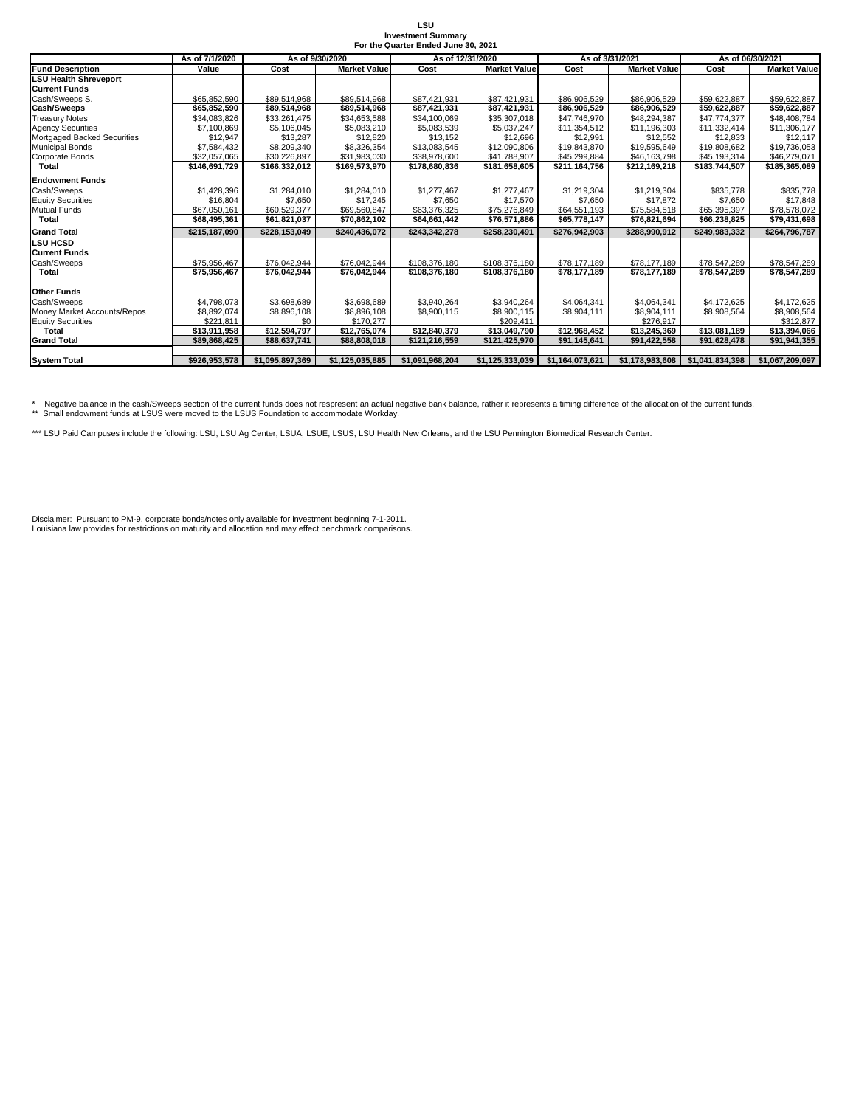#### **LSU Investment Summary For the Quarter Ended June 30, 2021**

|                                    | As of 7/1/2020 | As of 12/31/2020<br>As of 9/30/2020 |                     |                 |                     |                 | As of 3/31/2021     | As of 06/30/2021 |                     |  |
|------------------------------------|----------------|-------------------------------------|---------------------|-----------------|---------------------|-----------------|---------------------|------------------|---------------------|--|
| <b>Fund Description</b>            | Value          | Cost                                | <b>Market Value</b> | Cost            | <b>Market Value</b> | Cost            | <b>Market Value</b> | Cost             | <b>Market Value</b> |  |
| <b>LSU Health Shreveport</b>       |                |                                     |                     |                 |                     |                 |                     |                  |                     |  |
| <b>Current Funds</b>               |                |                                     |                     |                 |                     |                 |                     |                  |                     |  |
| Cash/Sweeps S.                     | \$65,852,590   | \$89,514.968                        | \$89.514.968        | \$87,421,931    | \$87.421.931        | \$86,906,529    | \$86,906,529        | \$59.622.887     | \$59,622,887        |  |
| <b>Cash/Sweeps</b>                 | \$65,852,590   | \$89,514,968                        | \$89,514,968        | \$87,421,931    | \$87,421,931        | \$86,906,529    | \$86,906,529        | \$59,622,887     | \$59,622,887        |  |
| <b>Treasury Notes</b>              | \$34.083.826   | \$33.261.475                        | \$34,653,588        | \$34,100,069    | \$35,307,018        | \$47,746,970    | \$48,294,387        | \$47,774,377     | \$48,408,784        |  |
| <b>Agency Securities</b>           | \$7,100.869    | \$5,106,045                         | \$5,083,210         | \$5,083,539     | \$5,037,247         | \$11,354,512    | \$11,196,303        | \$11,332,414     | \$11,306,177        |  |
| <b>Mortgaged Backed Securities</b> | \$12.947       | \$13,287                            | \$12,820            | \$13,152        | \$12,696            | \$12,991        | \$12,552            | \$12,833         | \$12,117            |  |
| <b>Municipal Bonds</b>             | \$7.584.432    | \$8,209,340                         | \$8,326,354         | \$13,083,545    | \$12,090,806        | \$19,843,870    | \$19,595,649        | \$19,808,682     | \$19,736,053        |  |
| Corporate Bonds                    | \$32.057.065   | \$30,226,897                        | \$31,983,030        | \$38,978,600    | \$41,788,907        | \$45,299,884    | \$46,163,798        | \$45,193,314     | \$46,279,071        |  |
| <b>Total</b>                       | \$146.691.729  | \$166,332,012                       | \$169,573,970       | \$178,680,836   | \$181.658.605       | \$211.164.756   | \$212,169,218       | \$183.744.507    | \$185.365.089       |  |
| <b>Endowment Funds</b>             |                |                                     |                     |                 |                     |                 |                     |                  |                     |  |
| Cash/Sweeps                        | \$1,428,396    | \$1,284,010                         | \$1,284,010         | \$1,277,467     | \$1,277,467         | \$1,219,304     | \$1,219,304         | \$835,778        | \$835,778           |  |
| <b>Equity Securities</b>           | \$16,804       | \$7,650                             | \$17.245            | \$7.650         | \$17,570            | \$7,650         | \$17,872            | \$7.650          | \$17.848            |  |
| <b>Mutual Funds</b>                | \$67.050.161   | \$60,529,377                        | \$69,560,847        | \$63,376,325    | \$75,276,849        | \$64,551,193    | \$75,584,518        | \$65,395,397     | \$78,578,072        |  |
| <b>Total</b>                       | \$68,495,361   | \$61.821.037                        | \$70.862.102        | \$64.661.442    | \$76.571.886        | \$65,778,147    | \$76.821.694        | \$66,238,825     | \$79,431,698        |  |
| <b>Grand Total</b>                 | \$215.187.090  | \$228.153.049                       | \$240.436.072       | \$243.342.278   | \$258,230,491       | \$276.942.903   | \$288.990.912       | \$249.983.332    | \$264.796.787       |  |
| <b>LSU HCSD</b>                    |                |                                     |                     |                 |                     |                 |                     |                  |                     |  |
| <b>Current Funds</b>               |                |                                     |                     |                 |                     |                 |                     |                  |                     |  |
| Cash/Sweeps                        | \$75.956.467   | \$76.042.944                        | \$76,042,944        | \$108,376,180   | \$108,376,180       | \$78,177,189    | \$78,177,189        | \$78,547,289     | \$78,547,289        |  |
| <b>Total</b>                       | \$75,956,467   | \$76,042,944                        | \$76,042,944        | \$108.376.180   | \$108,376,180       | \$78.177.189    | \$78,177,189        | \$78,547,289     | \$78,547,289        |  |
| <b>Other Funds</b>                 |                |                                     |                     |                 |                     |                 |                     |                  |                     |  |
| Cash/Sweeps                        | \$4,798,073    | \$3,698,689                         | \$3,698,689         | \$3,940,264     | \$3,940,264         | \$4,064,341     | \$4,064,341         | \$4,172,625      | \$4,172,625         |  |
| Money Market Accounts/Repos        | \$8,892,074    | \$8,896,108                         | \$8,896,108         | \$8,900,115     | \$8,900,115         | \$8,904,111     | \$8,904,111         | \$8,908,564      | \$8,908,564         |  |
| <b>Equity Securities</b>           | \$221.811      | \$0                                 | \$170.277           |                 | \$209.411           |                 | \$276.917           |                  | \$312,877           |  |
| Total                              | \$13.911.958   | \$12.594.797                        | \$12,765,074        | \$12,840,379    | \$13,049,790        | \$12.968.452    | \$13.245.369        | \$13.081.189     | \$13,394,066        |  |
| <b>Grand Total</b>                 | \$89,868,425   | \$88,637,741                        | \$88,808,018        | \$121,216,559   | \$121,425,970       | \$91,145,641    | \$91,422,558        | \$91,628,478     | \$91,941,355        |  |
|                                    |                |                                     |                     |                 |                     |                 |                     |                  |                     |  |
| <b>System Total</b>                | \$926.953.578  | \$1.095.897.369                     | \$1,125,035,885     | \$1,091,968,204 | \$1,125,333,039     | \$1.164.073.621 | \$1.178.983.608     | \$1,041,834,398  | \$1.067.209.097     |  |

\* Negative balance in the cash/Sweeps section of the current funds does not respresent an actual negative bank balance, rather it represents a timing difference of the allocation of the current funds.<br>\*\* Small endowment fu

\*\*\* LSU Paid Campuses include the following: LSU, LSU Ag Center, LSUA, LSUE, LSUS, LSU Health New Orleans, and the LSU Pennington Biomedical Research Center.

Disclaimer: Pursuant to PM-9, corporate bonds/notes only available for investment beginning 7-1-2011. Louisiana law provides for restrictions on maturity and allocation and may effect benchmark comparisons.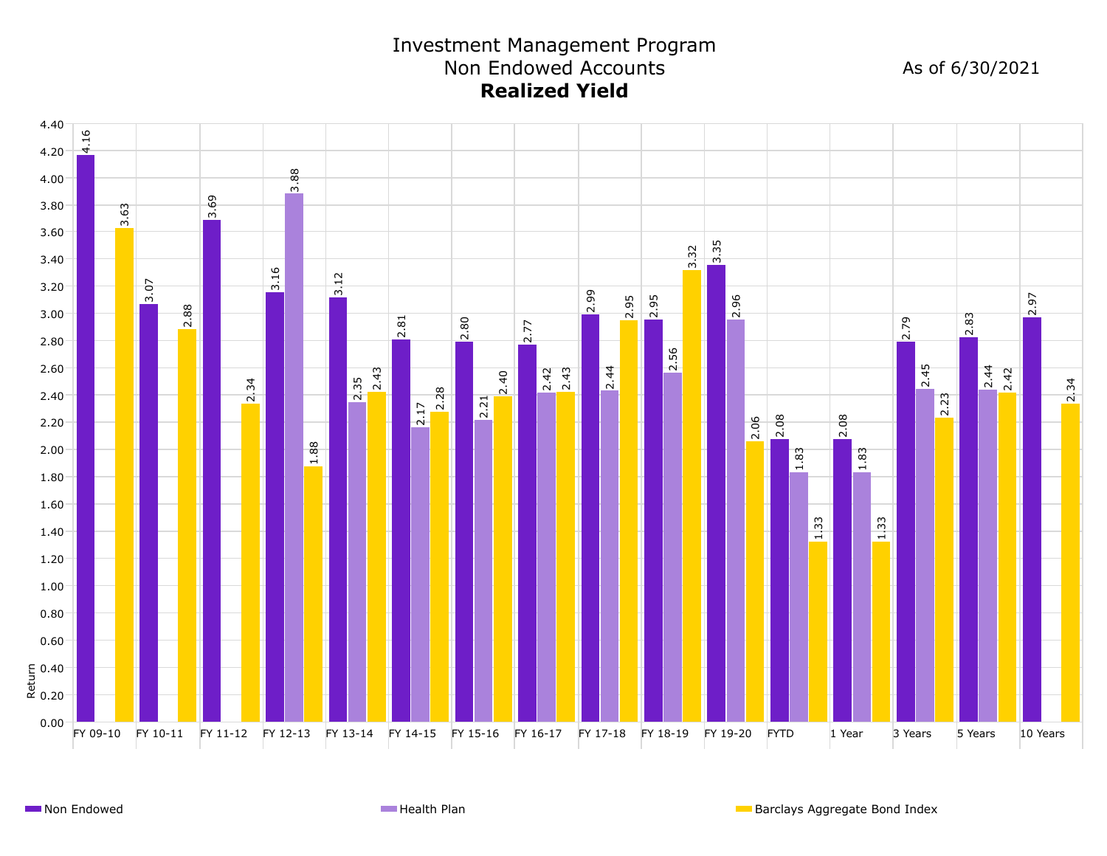# Investment Management Program Non Endowed Accounts **Realized Yield**

As of 6/30/2021

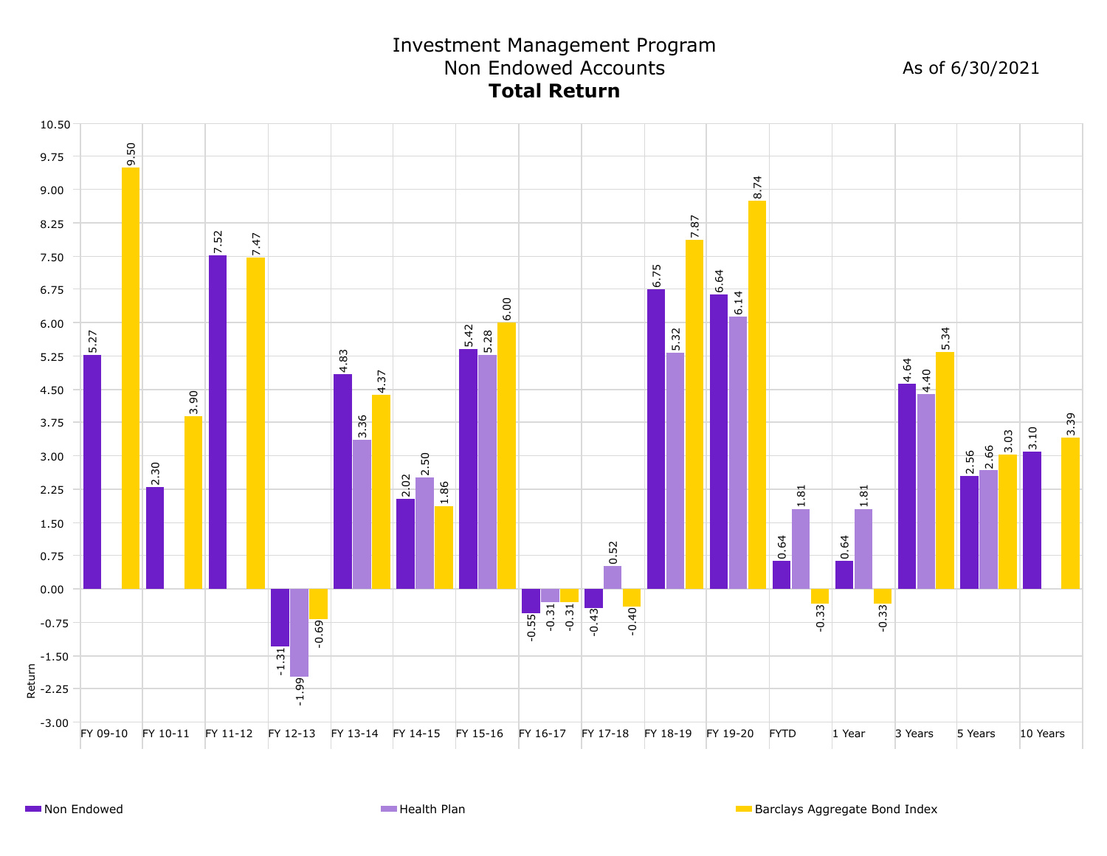# Investment Management Program Non Endowed Accounts **Total Return**

As of 6/30/2021

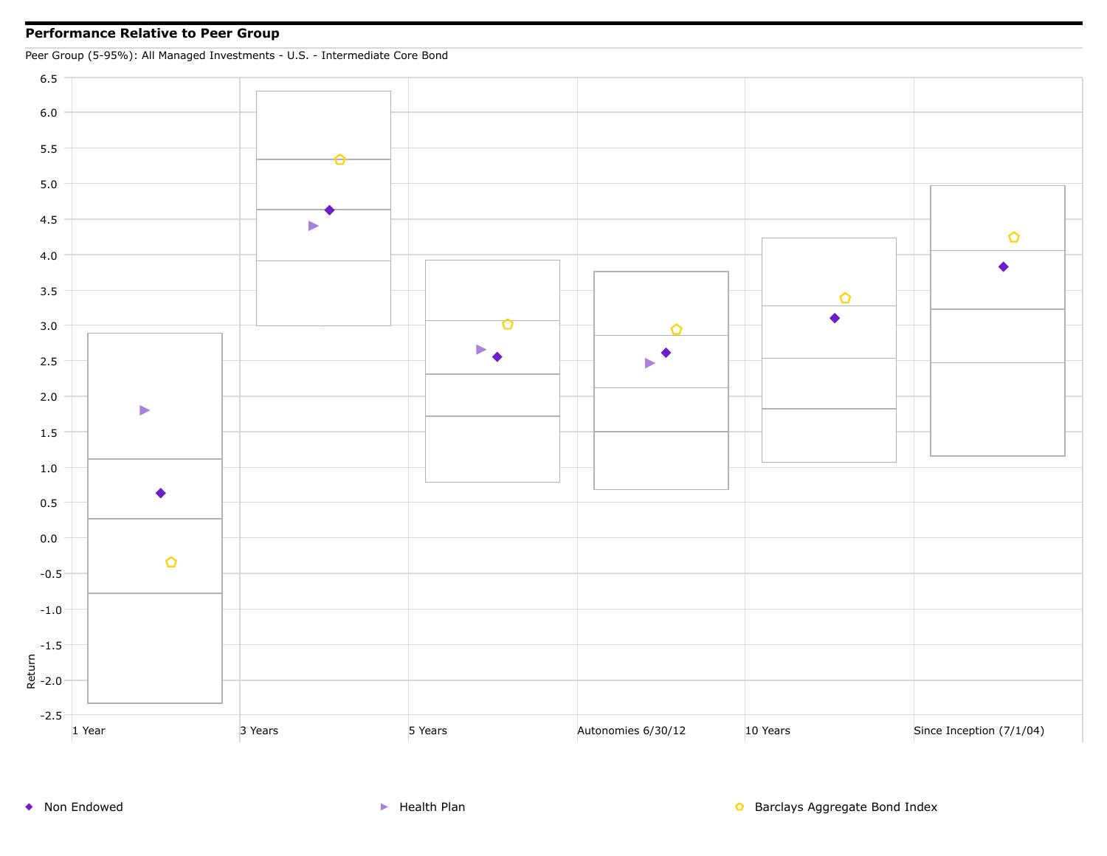#### **Performance Relative to Peer Group**

Peer Group (5-95%): All Managed Investments - U.S. - Intermediate Core Bond

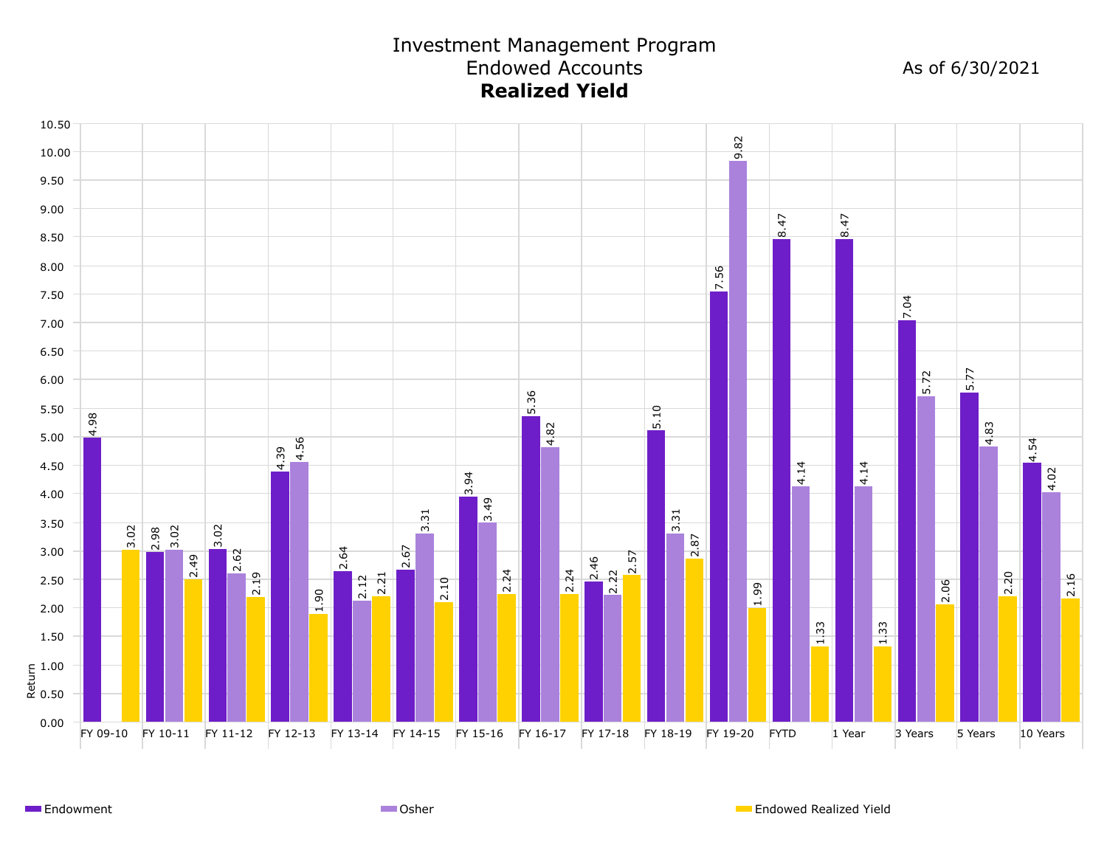# Investment Management Program Endowed Accounts **Realized Yield**

As of 6/30/2021



**Endowment** Channel Communication Communication Communication Communication Communication Communication Communication Communication Communication Communication Communication Communication Communication Communication Commun